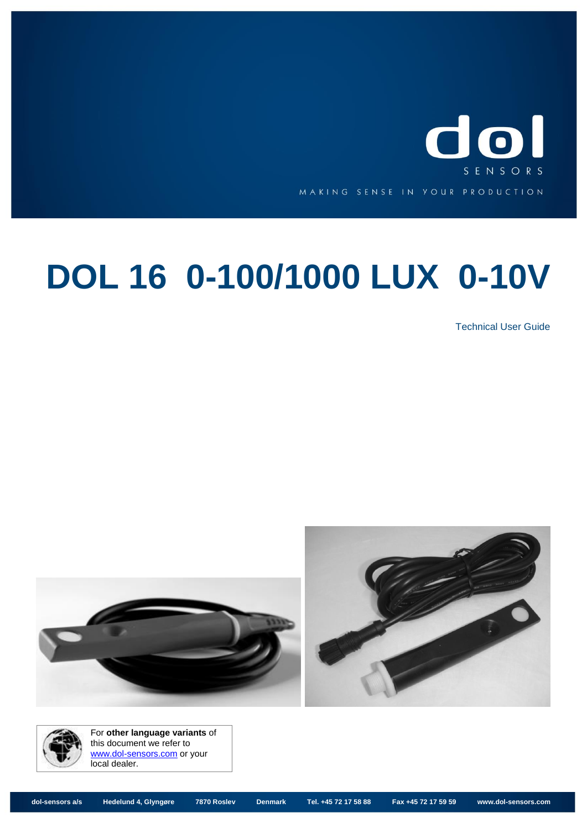

# **DOL 16 0-100/1000 LUX 0-10V**

Technical User Guide





For **other language variants** of this document we refer to [www.dol-sensors.com](http://www.dol-sensors.com/EN/Details/Pages/Download_climate_sensors.aspx) or your local dealer.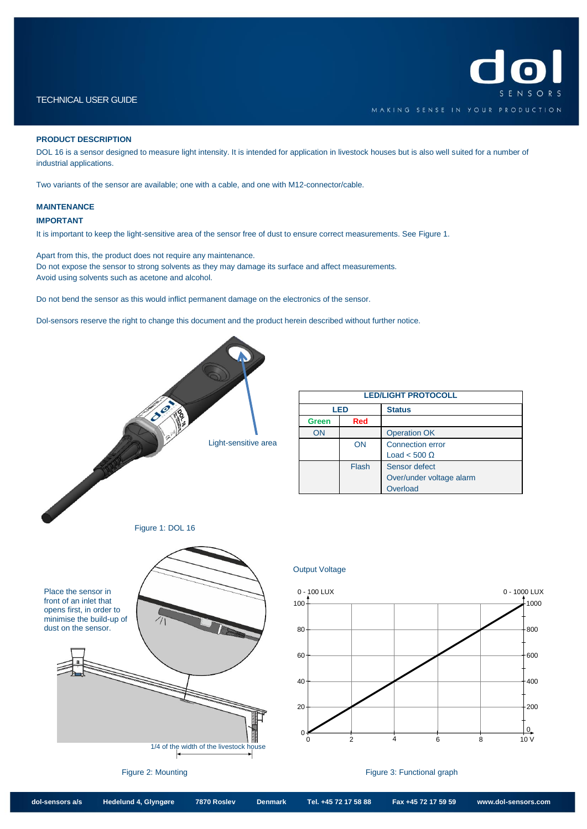## TECHNICAL USER GUIDE

## **PRODUCT DESCRIPTION**

DOL 16 is a sensor designed to measure light intensity. It is intended for application in livestock houses but is also well suited for a number of industrial applications.

Two variants of the sensor are available; one with a cable, and one with M12-connector/cable.

#### **MAINTENANCE**

### **IMPORTANT**

It is important to keep the light-sensitive area of the sensor free of dust to ensure correct measurements. Se[e Figure 1.](#page-1-0)

Apart from this, the product does not require any maintenance. Do not expose the sensor to strong solvents as they may damage its surface and affect measurements. Avoid using solvents such as acetone and alcohol.

Do not bend the sensor as this would inflict permanent damage on the electronics of the sensor.

Dol-sensors reserve the right to change this document and the product herein described without further notice.

<span id="page-1-0"></span>

| <b>LED/LIGHT PROTOCOLL</b> |       |                          |  |
|----------------------------|-------|--------------------------|--|
| LED                        |       | <b>Status</b>            |  |
| <b>Green</b>               | Red   |                          |  |
| ON                         |       | <b>Operation OK</b>      |  |
|                            | ON    | <b>Connection error</b>  |  |
|                            |       | Load < 500 $\Omega$      |  |
|                            | Flash | Sensor defect            |  |
|                            |       | Over/under voltage alarm |  |
|                            |       | Overload                 |  |

#### Output Voltage



<span id="page-1-1"></span>Figure 2: Mounting Figure 3: Functional graph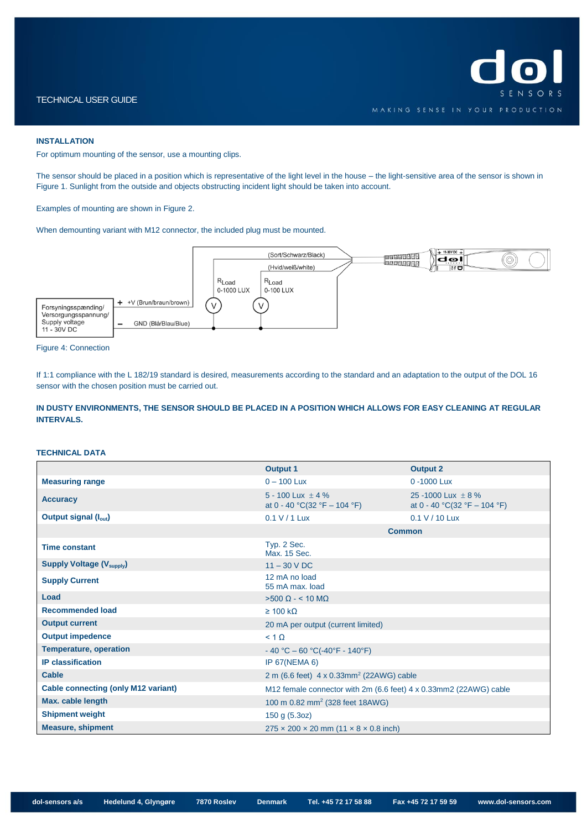#### **INSTALLATION**

For optimum mounting of the sensor, use a mounting clips.

The sensor should be placed in a position which is representative of the light level in the house – the light-sensitive area of the sensor is shown in [Figure 1.](#page-1-0) Sunlight from the outside and objects obstructing incident light should be taken into account.

Examples of mounting are shown in [Figure 2.](#page-1-1)

When demounting variant with M12 connector, the included plug must be mounted.



#### Figure 4: Connection

If 1:1 compliance with the L 182/19 standard is desired, measurements according to the standard and an adaptation to the output of the DOL 16 sensor with the chosen position must be carried out.

**IN DUSTY ENVIRONMENTS, THE SENSOR SHOULD BE PLACED IN A POSITION WHICH ALLOWS FOR EASY CLEANING AT REGULAR INTERVALS.**

#### **TECHNICAL DATA**

|                                            | <b>Output 1</b>                                                   | <b>Output 2</b>                                        |  |
|--------------------------------------------|-------------------------------------------------------------------|--------------------------------------------------------|--|
| <b>Measuring range</b>                     | $0 - 100$ Lux                                                     | 0 -1000 Lux                                            |  |
| <b>Accuracy</b>                            | $5 - 100$ Lux + 4 %<br>at 0 - 40 °C(32 °F – 104 °F)               | 25 -1000 Lux $\pm$ 8 %<br>at 0 - 40 °C(32 °F – 104 °F) |  |
| Output signal (l <sub>out</sub> )          | $0.1$ V / 1 Lux                                                   | 0.1 V / 10 Lux                                         |  |
|                                            | <b>Common</b>                                                     |                                                        |  |
| <b>Time constant</b>                       | Typ. 2 Sec.<br>Max. 15 Sec.                                       |                                                        |  |
| <b>Supply Voltage (V<sub>supply</sub>)</b> | $11 - 30$ V DC                                                    |                                                        |  |
| <b>Supply Current</b>                      | 12 mA no load<br>55 mA max. load                                  |                                                        |  |
| Load                                       | $>500 \Omega - 10 \text{ M}\Omega$                                |                                                        |  |
| <b>Recommended load</b>                    | $\geq 100 \text{ k}\Omega$                                        |                                                        |  |
| <b>Output current</b>                      | 20 mA per output (current limited)                                |                                                        |  |
| <b>Output impedence</b>                    | $< 1 \Omega$                                                      |                                                        |  |
| <b>Temperature, operation</b>              | $-40$ °C $-60$ °C( $-40$ °F $-140$ °F)                            |                                                        |  |
| <b>IP</b> classification                   | <b>IP 67(NEMA 6)</b>                                              |                                                        |  |
| Cable                                      | 2 m (6.6 feet) $4 \times 0.33$ mm <sup>2</sup> (22AWG) cable      |                                                        |  |
| <b>Cable connecting (only M12 variant)</b> | M12 female connector with 2m (6.6 feet) 4 x 0.33mm2 (22AWG) cable |                                                        |  |
| Max. cable length                          | 100 m 0.82 mm <sup>2</sup> (328 feet 18AWG)                       |                                                        |  |
| <b>Shipment weight</b>                     | 150 g (5.3oz)                                                     |                                                        |  |
| <b>Measure, shipment</b>                   | $275 \times 200 \times 20$ mm $(11 \times 8 \times 0.8$ inch)     |                                                        |  |